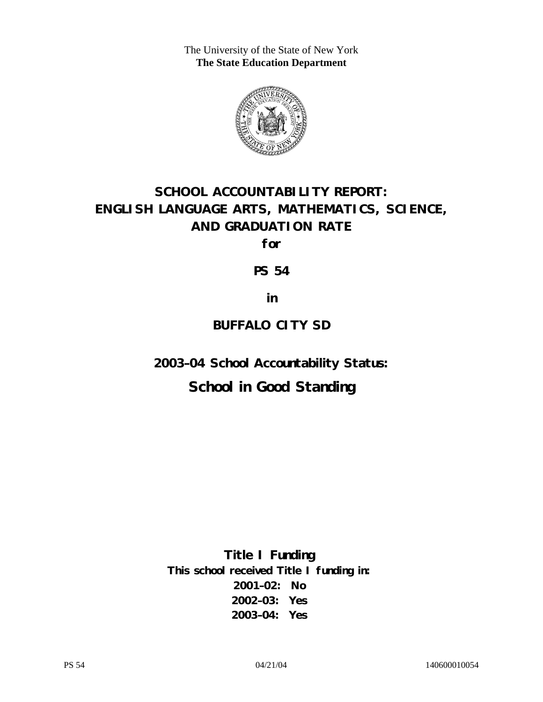The University of the State of New York **The State Education Department** 



# **SCHOOL ACCOUNTABILITY REPORT: ENGLISH LANGUAGE ARTS, MATHEMATICS, SCIENCE, AND GRADUATION RATE**

**for** 

**PS 54** 

**in** 

### **BUFFALO CITY SD**

**2003–04 School Accountability Status:** 

## **School in Good Standing**

**Title I Funding This school received Title I funding in: 2001–02: No 2002–03: Yes 2003–04: Yes**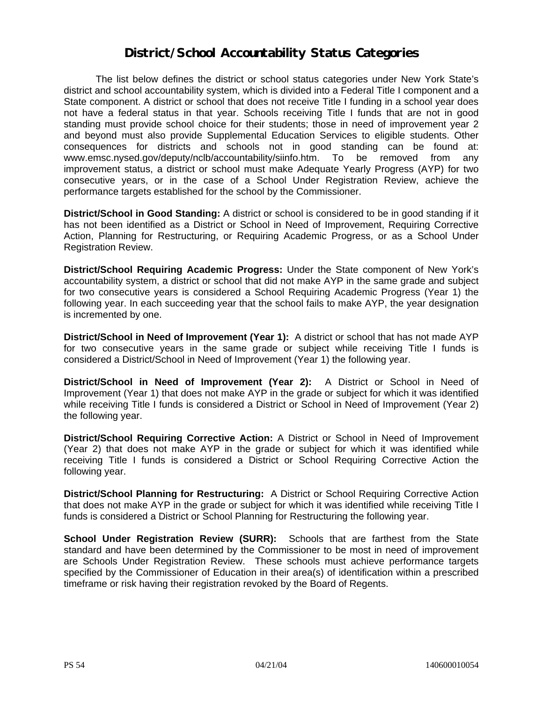### **District/School Accountability Status Categories**

The list below defines the district or school status categories under New York State's district and school accountability system, which is divided into a Federal Title I component and a State component. A district or school that does not receive Title I funding in a school year does not have a federal status in that year. Schools receiving Title I funds that are not in good standing must provide school choice for their students; those in need of improvement year 2 and beyond must also provide Supplemental Education Services to eligible students. Other consequences for districts and schools not in good standing can be found at: www.emsc.nysed.gov/deputy/nclb/accountability/siinfo.htm. To be removed from any improvement status, a district or school must make Adequate Yearly Progress (AYP) for two consecutive years, or in the case of a School Under Registration Review, achieve the performance targets established for the school by the Commissioner.

**District/School in Good Standing:** A district or school is considered to be in good standing if it has not been identified as a District or School in Need of Improvement, Requiring Corrective Action, Planning for Restructuring, or Requiring Academic Progress, or as a School Under Registration Review.

**District/School Requiring Academic Progress:** Under the State component of New York's accountability system, a district or school that did not make AYP in the same grade and subject for two consecutive years is considered a School Requiring Academic Progress (Year 1) the following year. In each succeeding year that the school fails to make AYP, the year designation is incremented by one.

**District/School in Need of Improvement (Year 1):** A district or school that has not made AYP for two consecutive years in the same grade or subject while receiving Title I funds is considered a District/School in Need of Improvement (Year 1) the following year.

**District/School in Need of Improvement (Year 2):** A District or School in Need of Improvement (Year 1) that does not make AYP in the grade or subject for which it was identified while receiving Title I funds is considered a District or School in Need of Improvement (Year 2) the following year.

**District/School Requiring Corrective Action:** A District or School in Need of Improvement (Year 2) that does not make AYP in the grade or subject for which it was identified while receiving Title I funds is considered a District or School Requiring Corrective Action the following year.

**District/School Planning for Restructuring:** A District or School Requiring Corrective Action that does not make AYP in the grade or subject for which it was identified while receiving Title I funds is considered a District or School Planning for Restructuring the following year.

**School Under Registration Review (SURR):** Schools that are farthest from the State standard and have been determined by the Commissioner to be most in need of improvement are Schools Under Registration Review. These schools must achieve performance targets specified by the Commissioner of Education in their area(s) of identification within a prescribed timeframe or risk having their registration revoked by the Board of Regents.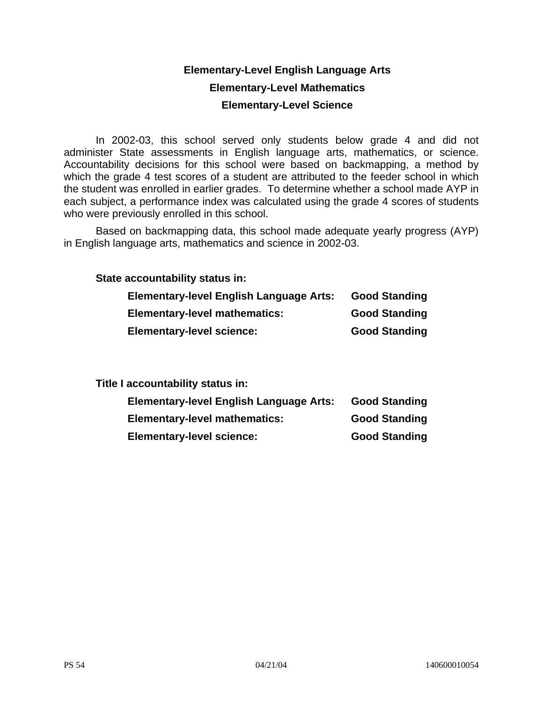### **Elementary-Level English Language Arts Elementary-Level Mathematics Elementary-Level Science**

In 2002-03, this school served only students below grade 4 and did not administer State assessments in English language arts, mathematics, or science. Accountability decisions for this school were based on backmapping, a method by which the grade 4 test scores of a student are attributed to the feeder school in which the student was enrolled in earlier grades. To determine whether a school made AYP in each subject, a performance index was calculated using the grade 4 scores of students who were previously enrolled in this school.

Based on backmapping data, this school made adequate yearly progress (AYP) in English language arts, mathematics and science in 2002-03.

**State accountability status in:** 

| <b>Elementary-level English Language Arts:</b> | <b>Good Standing</b> |
|------------------------------------------------|----------------------|
| <b>Elementary-level mathematics:</b>           | <b>Good Standing</b> |
| <b>Elementary-level science:</b>               | <b>Good Standing</b> |

**Title I accountability status in:** 

| <b>Elementary-level English Language Arts:</b> | <b>Good Standing</b> |
|------------------------------------------------|----------------------|
| <b>Elementary-level mathematics:</b>           | <b>Good Standing</b> |
| <b>Elementary-level science:</b>               | <b>Good Standing</b> |